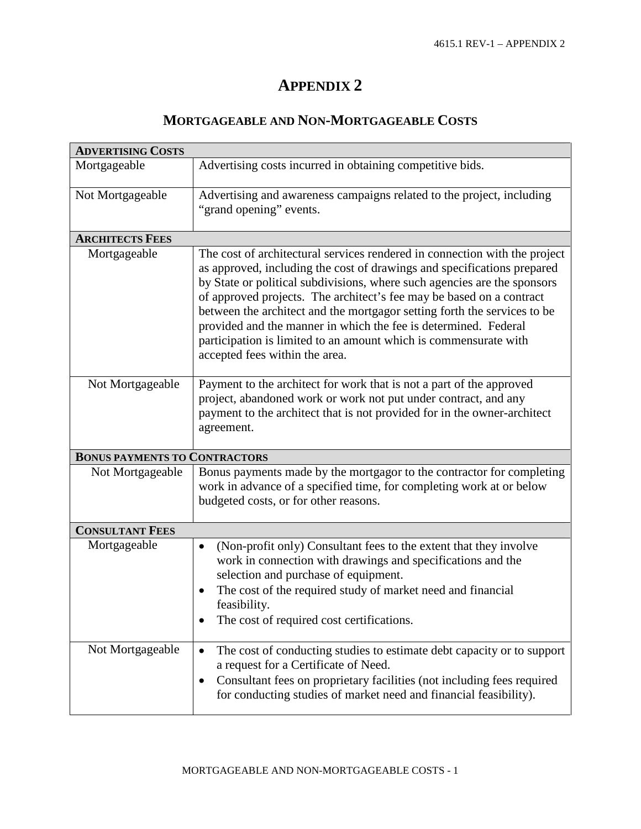## **APPENDIX 2**

## **MORTGAGEABLE AND NON-MORTGAGEABLE COSTS**

| <b>ADVERTISING COSTS</b>             |                                                                                                                                                                                                                                                                                                                                                                                                                                                                                                                                                                |  |  |
|--------------------------------------|----------------------------------------------------------------------------------------------------------------------------------------------------------------------------------------------------------------------------------------------------------------------------------------------------------------------------------------------------------------------------------------------------------------------------------------------------------------------------------------------------------------------------------------------------------------|--|--|
| Mortgageable                         | Advertising costs incurred in obtaining competitive bids.                                                                                                                                                                                                                                                                                                                                                                                                                                                                                                      |  |  |
| Not Mortgageable                     | Advertising and awareness campaigns related to the project, including<br>"grand opening" events.                                                                                                                                                                                                                                                                                                                                                                                                                                                               |  |  |
| <b>ARCHITECTS FEES</b>               |                                                                                                                                                                                                                                                                                                                                                                                                                                                                                                                                                                |  |  |
| Mortgageable                         | The cost of architectural services rendered in connection with the project<br>as approved, including the cost of drawings and specifications prepared<br>by State or political subdivisions, where such agencies are the sponsors<br>of approved projects. The architect's fee may be based on a contract<br>between the architect and the mortgagor setting forth the services to be<br>provided and the manner in which the fee is determined. Federal<br>participation is limited to an amount which is commensurate with<br>accepted fees within the area. |  |  |
| Not Mortgageable                     | Payment to the architect for work that is not a part of the approved<br>project, abandoned work or work not put under contract, and any<br>payment to the architect that is not provided for in the owner-architect<br>agreement.                                                                                                                                                                                                                                                                                                                              |  |  |
| <b>BONUS PAYMENTS TO CONTRACTORS</b> |                                                                                                                                                                                                                                                                                                                                                                                                                                                                                                                                                                |  |  |
| Not Mortgageable                     | Bonus payments made by the mortgagor to the contractor for completing<br>work in advance of a specified time, for completing work at or below<br>budgeted costs, or for other reasons.                                                                                                                                                                                                                                                                                                                                                                         |  |  |
| <b>CONSULTANT FEES</b>               |                                                                                                                                                                                                                                                                                                                                                                                                                                                                                                                                                                |  |  |
| Mortgageable                         | (Non-profit only) Consultant fees to the extent that they involve<br>$\bullet$<br>work in connection with drawings and specifications and the<br>selection and purchase of equipment.<br>The cost of the required study of market need and financial<br>feasibility.<br>The cost of required cost certifications.                                                                                                                                                                                                                                              |  |  |
| Not Mortgageable                     | The cost of conducting studies to estimate debt capacity or to support<br>a request for a Certificate of Need.<br>Consultant fees on proprietary facilities (not including fees required<br>for conducting studies of market need and financial feasibility).                                                                                                                                                                                                                                                                                                  |  |  |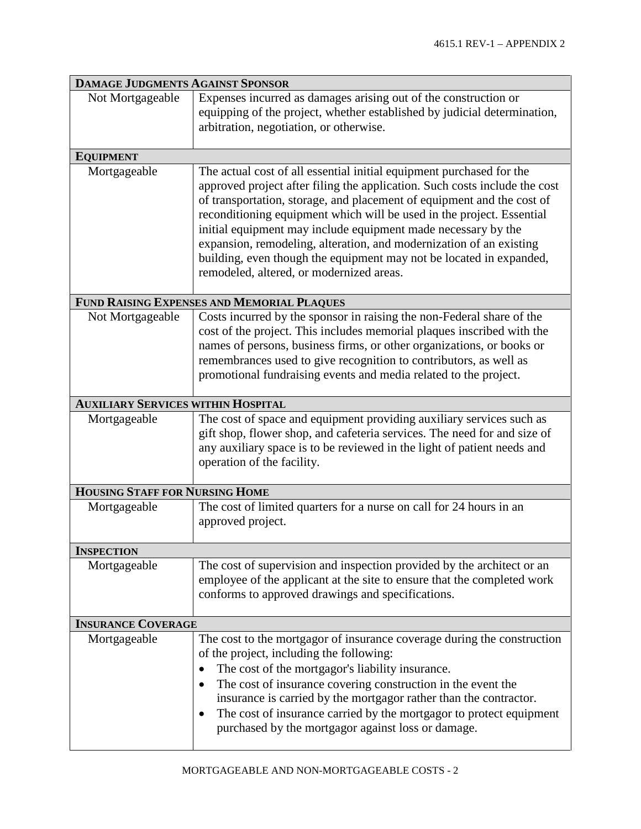| <b>DAMAGE JUDGMENTS AGAINST SPONSOR</b>    |                                                                                                                                                                                                                                                                                                                                                                                                                                                                                                                                                                  |  |
|--------------------------------------------|------------------------------------------------------------------------------------------------------------------------------------------------------------------------------------------------------------------------------------------------------------------------------------------------------------------------------------------------------------------------------------------------------------------------------------------------------------------------------------------------------------------------------------------------------------------|--|
| Not Mortgageable                           | Expenses incurred as damages arising out of the construction or<br>equipping of the project, whether established by judicial determination,<br>arbitration, negotiation, or otherwise.                                                                                                                                                                                                                                                                                                                                                                           |  |
| <b>EQUIPMENT</b>                           |                                                                                                                                                                                                                                                                                                                                                                                                                                                                                                                                                                  |  |
| Mortgageable                               | The actual cost of all essential initial equipment purchased for the<br>approved project after filing the application. Such costs include the cost<br>of transportation, storage, and placement of equipment and the cost of<br>reconditioning equipment which will be used in the project. Essential<br>initial equipment may include equipment made necessary by the<br>expansion, remodeling, alteration, and modernization of an existing<br>building, even though the equipment may not be located in expanded,<br>remodeled, altered, or modernized areas. |  |
| FUND RAISING EXPENSES AND MEMORIAL PLAQUES |                                                                                                                                                                                                                                                                                                                                                                                                                                                                                                                                                                  |  |
| Not Mortgageable                           | Costs incurred by the sponsor in raising the non-Federal share of the<br>cost of the project. This includes memorial plaques inscribed with the<br>names of persons, business firms, or other organizations, or books or<br>remembrances used to give recognition to contributors, as well as<br>promotional fundraising events and media related to the project.                                                                                                                                                                                                |  |
| <b>AUXILIARY SERVICES WITHIN HOSPITAL</b>  |                                                                                                                                                                                                                                                                                                                                                                                                                                                                                                                                                                  |  |
| Mortgageable                               | The cost of space and equipment providing auxiliary services such as<br>gift shop, flower shop, and cafeteria services. The need for and size of<br>any auxiliary space is to be reviewed in the light of patient needs and<br>operation of the facility.                                                                                                                                                                                                                                                                                                        |  |
| <b>HOUSING STAFF FOR NURSING HOME</b>      |                                                                                                                                                                                                                                                                                                                                                                                                                                                                                                                                                                  |  |
| Mortgageable                               | The cost of limited quarters for a nurse on call for 24 hours in an<br>approved project.                                                                                                                                                                                                                                                                                                                                                                                                                                                                         |  |
| <b>INSPECTION</b>                          |                                                                                                                                                                                                                                                                                                                                                                                                                                                                                                                                                                  |  |
| Mortgageable                               | The cost of supervision and inspection provided by the architect or an<br>employee of the applicant at the site to ensure that the completed work<br>conforms to approved drawings and specifications.                                                                                                                                                                                                                                                                                                                                                           |  |
| <b>INSURANCE COVERAGE</b>                  |                                                                                                                                                                                                                                                                                                                                                                                                                                                                                                                                                                  |  |
| Mortgageable                               | The cost to the mortgagor of insurance coverage during the construction<br>of the project, including the following:<br>The cost of the mortgagor's liability insurance.<br>The cost of insurance covering construction in the event the<br>insurance is carried by the mortgagor rather than the contractor.<br>The cost of insurance carried by the mortgagor to protect equipment<br>purchased by the mortgagor against loss or damage.                                                                                                                        |  |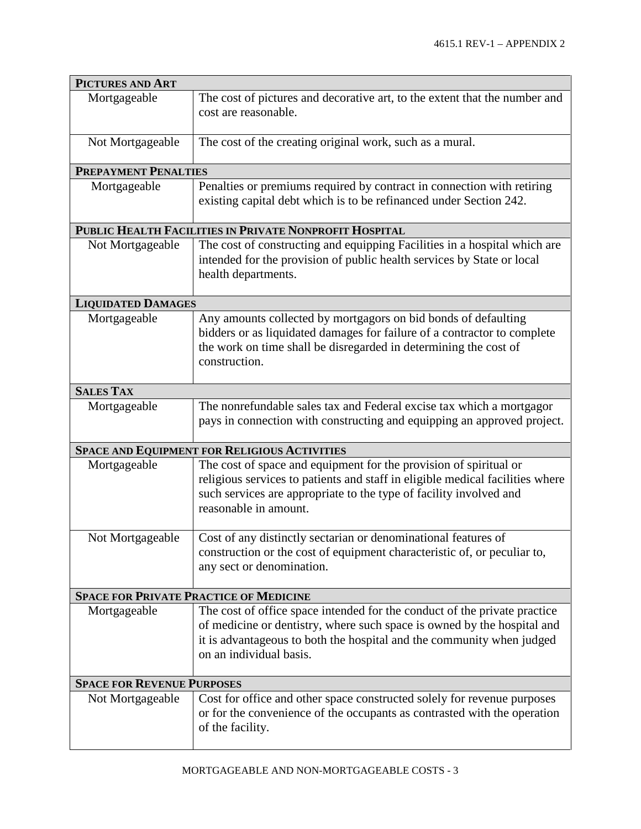| <b>PICTURES AND ART</b>                                |                                                                                                                                                                                                                                                          |  |
|--------------------------------------------------------|----------------------------------------------------------------------------------------------------------------------------------------------------------------------------------------------------------------------------------------------------------|--|
| Mortgageable                                           | The cost of pictures and decorative art, to the extent that the number and<br>cost are reasonable.                                                                                                                                                       |  |
| Not Mortgageable                                       | The cost of the creating original work, such as a mural.                                                                                                                                                                                                 |  |
| <b>PREPAYMENT PENALTIES</b>                            |                                                                                                                                                                                                                                                          |  |
| Mortgageable                                           | Penalties or premiums required by contract in connection with retiring<br>existing capital debt which is to be refinanced under Section 242.                                                                                                             |  |
| PUBLIC HEALTH FACILITIES IN PRIVATE NONPROFIT HOSPITAL |                                                                                                                                                                                                                                                          |  |
| Not Mortgageable                                       | The cost of constructing and equipping Facilities in a hospital which are<br>intended for the provision of public health services by State or local<br>health departments.                                                                               |  |
| <b>LIQUIDATED DAMAGES</b>                              |                                                                                                                                                                                                                                                          |  |
| Mortgageable                                           | Any amounts collected by mortgagors on bid bonds of defaulting<br>bidders or as liquidated damages for failure of a contractor to complete<br>the work on time shall be disregarded in determining the cost of<br>construction.                          |  |
| <b>SALES TAX</b>                                       |                                                                                                                                                                                                                                                          |  |
| Mortgageable                                           | The nonrefundable sales tax and Federal excise tax which a mortgagor<br>pays in connection with constructing and equipping an approved project.                                                                                                          |  |
| <b>SPACE AND EQUIPMENT FOR RELIGIOUS ACTIVITIES</b>    |                                                                                                                                                                                                                                                          |  |
| Mortgageable                                           | The cost of space and equipment for the provision of spiritual or<br>religious services to patients and staff in eligible medical facilities where<br>such services are appropriate to the type of facility involved and<br>reasonable in amount.        |  |
| Not Mortgageable                                       | Cost of any distinctly sectarian or denominational features of<br>construction or the cost of equipment characteristic of, or peculiar to,<br>any sect or denomination.                                                                                  |  |
|                                                        | <b>SPACE FOR PRIVATE PRACTICE OF MEDICINE</b>                                                                                                                                                                                                            |  |
| Mortgageable                                           | The cost of office space intended for the conduct of the private practice<br>of medicine or dentistry, where such space is owned by the hospital and<br>it is advantageous to both the hospital and the community when judged<br>on an individual basis. |  |
| <b>SPACE FOR REVENUE PURPOSES</b>                      |                                                                                                                                                                                                                                                          |  |
| Not Mortgageable                                       | Cost for office and other space constructed solely for revenue purposes<br>or for the convenience of the occupants as contrasted with the operation<br>of the facility.                                                                                  |  |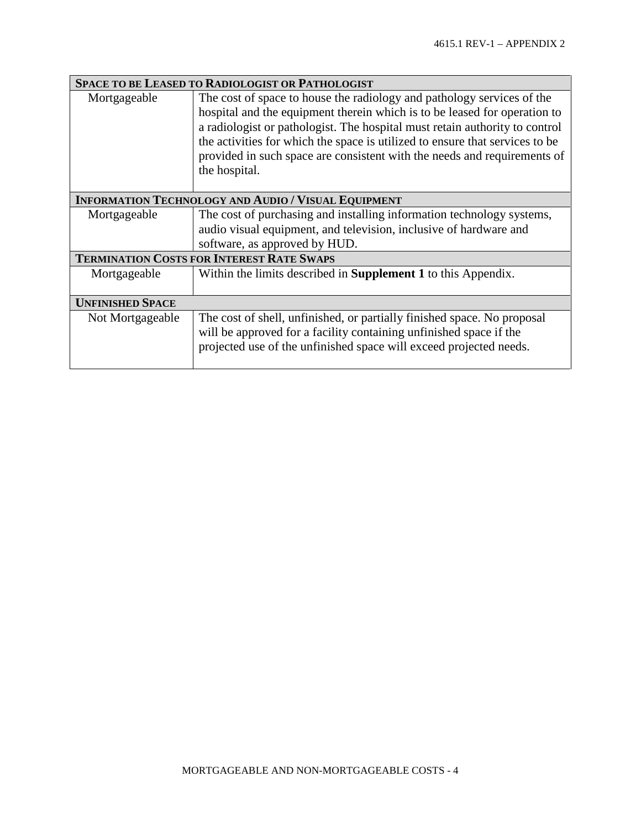| SPACE TO BE LEASED TO RADIOLOGIST OR PATHOLOGIST           |                                                                                                                                                                                                                                                                                                                                                                                                                 |  |
|------------------------------------------------------------|-----------------------------------------------------------------------------------------------------------------------------------------------------------------------------------------------------------------------------------------------------------------------------------------------------------------------------------------------------------------------------------------------------------------|--|
| Mortgageable                                               | The cost of space to house the radiology and pathology services of the<br>hospital and the equipment therein which is to be leased for operation to<br>a radiologist or pathologist. The hospital must retain authority to control<br>the activities for which the space is utilized to ensure that services to be<br>provided in such space are consistent with the needs and requirements of<br>the hospital. |  |
| <b>INFORMATION TECHNOLOGY AND AUDIO / VISUAL EQUIPMENT</b> |                                                                                                                                                                                                                                                                                                                                                                                                                 |  |
| Mortgageable                                               | The cost of purchasing and installing information technology systems,<br>audio visual equipment, and television, inclusive of hardware and<br>software, as approved by HUD.                                                                                                                                                                                                                                     |  |
| <b>TERMINATION COSTS FOR INTEREST RATE SWAPS</b>           |                                                                                                                                                                                                                                                                                                                                                                                                                 |  |
| Mortgageable                                               | Within the limits described in <b>Supplement 1</b> to this Appendix.                                                                                                                                                                                                                                                                                                                                            |  |
| <b>UNFINISHED SPACE</b>                                    |                                                                                                                                                                                                                                                                                                                                                                                                                 |  |
| Not Mortgageable                                           | The cost of shell, unfinished, or partially finished space. No proposal<br>will be approved for a facility containing unfinished space if the<br>projected use of the unfinished space will exceed projected needs.                                                                                                                                                                                             |  |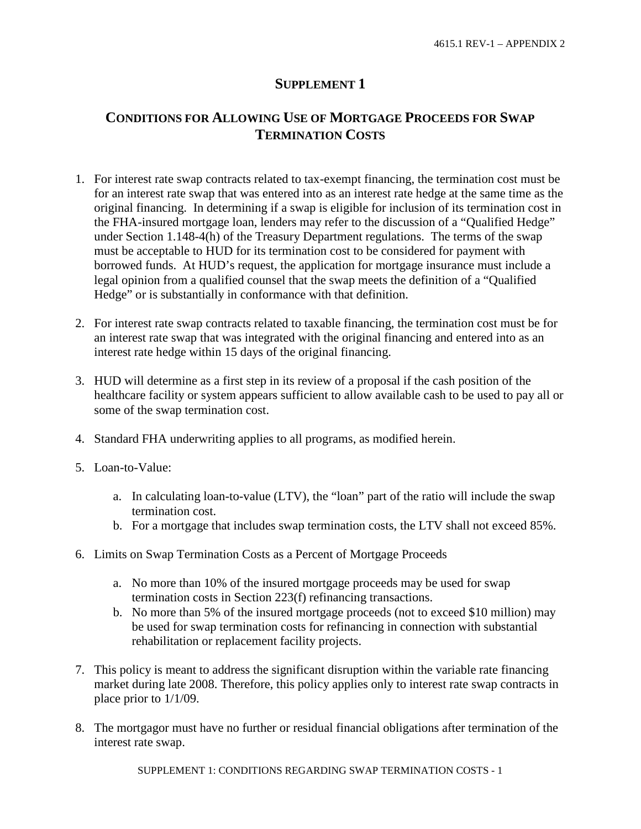## **SUPPLEMENT 1**

## **CONDITIONS FOR ALLOWING USE OF MORTGAGE PROCEEDS FOR SWAP TERMINATION COSTS**

- 1. For interest rate swap contracts related to tax-exempt financing, the termination cost must be for an interest rate swap that was entered into as an interest rate hedge at the same time as the original financing. In determining if a swap is eligible for inclusion of its termination cost in the FHA-insured mortgage loan, lenders may refer to the discussion of a "Qualified Hedge" under Section 1.148-4(h) of the Treasury Department regulations. The terms of the swap must be acceptable to HUD for its termination cost to be considered for payment with borrowed funds. At HUD's request, the application for mortgage insurance must include a legal opinion from a qualified counsel that the swap meets the definition of a "Qualified Hedge" or is substantially in conformance with that definition.
- 2. For interest rate swap contracts related to taxable financing, the termination cost must be for an interest rate swap that was integrated with the original financing and entered into as an interest rate hedge within 15 days of the original financing.
- 3. HUD will determine as a first step in its review of a proposal if the cash position of the healthcare facility or system appears sufficient to allow available cash to be used to pay all or some of the swap termination cost.
- 4. Standard FHA underwriting applies to all programs, as modified herein.
- 5. Loan-to-Value:
	- a. In calculating loan-to-value (LTV), the "loan" part of the ratio will include the swap termination cost.
	- b. For a mortgage that includes swap termination costs, the LTV shall not exceed 85%.
- 6. Limits on Swap Termination Costs as a Percent of Mortgage Proceeds
	- a. No more than 10% of the insured mortgage proceeds may be used for swap termination costs in Section 223(f) refinancing transactions.
	- b. No more than 5% of the insured mortgage proceeds (not to exceed \$10 million) may be used for swap termination costs for refinancing in connection with substantial rehabilitation or replacement facility projects.
- 7. This policy is meant to address the significant disruption within the variable rate financing market during late 2008. Therefore, this policy applies only to interest rate swap contracts in place prior to 1/1/09.
- 8. The mortgagor must have no further or residual financial obligations after termination of the interest rate swap.

SUPPLEMENT 1: CONDITIONS REGARDING SWAP TERMINATION COSTS - 1